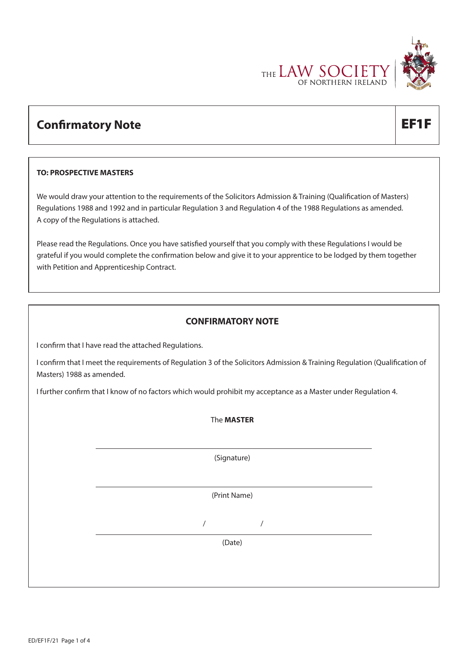

# **Confirmatory Note EF1F**

#### **TO: PROSPECTIVE MASTERS**

We would draw your attention to the requirements of the Solicitors Admission & Training (Qualification of Masters) Regulations 1988 and 1992 and in particular Regulation 3 and Regulation 4 of the 1988 Regulations as amended. A copy of the Regulations is attached.

Please read the Regulations. Once you have satisfied yourself that you comply with these Regulations I would be grateful if you would complete the confirmation below and give it to your apprentice to be lodged by them together with Petition and Apprenticeship Contract.

### **CONFIRMATORY NOTE**

I confirm that I have read the attached Regulations.

I confirm that I meet the requirements of Regulation 3 of the Solicitors Admission & Training Regulation (Qualification of Masters) 1988 as amended.

I further confirm that I know of no factors which would prohibit my acceptance as a Master under Regulation 4.

The **MASTER** 

(Signature)

(Print Name)

/ /

(Date)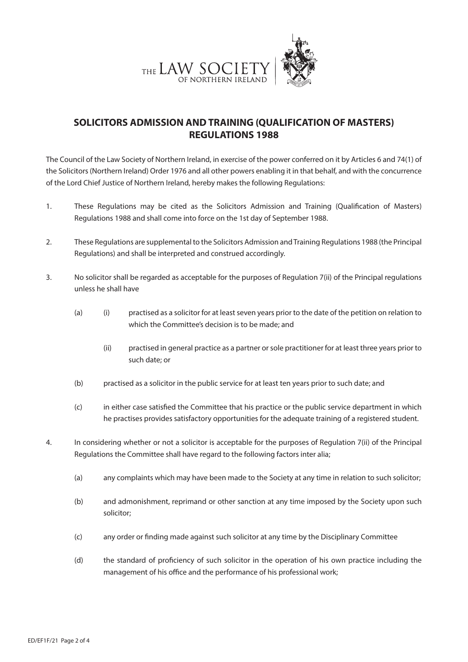

## **SOLICITORS ADMISSION AND TRAINING (QUALIFICATION OF MASTERS) REGULATIONS 1988**

The Council of the Law Society of Northern Ireland, in exercise of the power conferred on it by Articles 6 and 74(1) of the Solicitors (Northern Ireland) Order 1976 and all other powers enabling it in that behalf, and with the concurrence of the Lord Chief Justice of Northern Ireland, hereby makes the following Regulations:

- 1. These Regulations may be cited as the Solicitors Admission and Training (Qualification of Masters) Regulations 1988 and shall come into force on the 1st day of September 1988.
- 2. These Regulations are supplemental to the Solicitors Admission and Training Regulations 1988 (the Principal Regulations) and shall be interpreted and construed accordingly.
- 3. No solicitor shall be regarded as acceptable for the purposes of Regulation 7(ii) of the Principal regulations unless he shall have
	- (a) (i) practised as a solicitor for at least seven years prior to the date of the petition on relation to which the Committee's decision is to be made; and
		- (ii) practised in general practice as a partner or sole practitioner for at least three years prior to such date; or
	- (b) practised as a solicitor in the public service for at least ten years prior to such date; and
	- (c) in either case satisfied the Committee that his practice or the public service department in which he practises provides satisfactory opportunities for the adequate training of a registered student.
- 4. In considering whether or not a solicitor is acceptable for the purposes of Regulation 7(ii) of the Principal Regulations the Committee shall have regard to the following factors inter alia;
	- (a) any complaints which may have been made to the Society at any time in relation to such solicitor;
	- (b) and admonishment, reprimand or other sanction at any time imposed by the Society upon such solicitor;
	- (c) any order or finding made against such solicitor at any time by the Disciplinary Committee
	- (d) the standard of proficiency of such solicitor in the operation of his own practice including the management of his office and the performance of his professional work;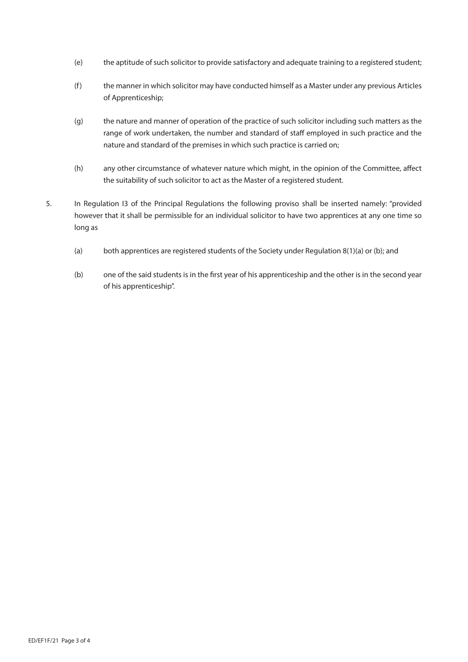- (e) the aptitude of such solicitor to provide satisfactory and adequate training to a registered student;
- (f) the manner in which solicitor may have conducted himself as a Master under any previous Articles of Apprenticeship;
- (g) the nature and manner of operation of the practice of such solicitor including such matters as the range of work undertaken, the number and standard of staff employed in such practice and the nature and standard of the premises in which such practice is carried on;
- (h) any other circumstance of whatever nature which might, in the opinion of the Committee, affect the suitability of such solicitor to act as the Master of a registered student.
- 5. In Regulation I3 of the Principal Regulations the following proviso shall be inserted namely: "provided however that it shall be permissible for an individual solicitor to have two apprentices at any one time so long as
	- (a) both apprentices are registered students of the Society under Regulation 8(1)(a) or (b); and
	- (b) one of the said students is in the first year of his apprenticeship and the other is in the second year of his apprenticeship".